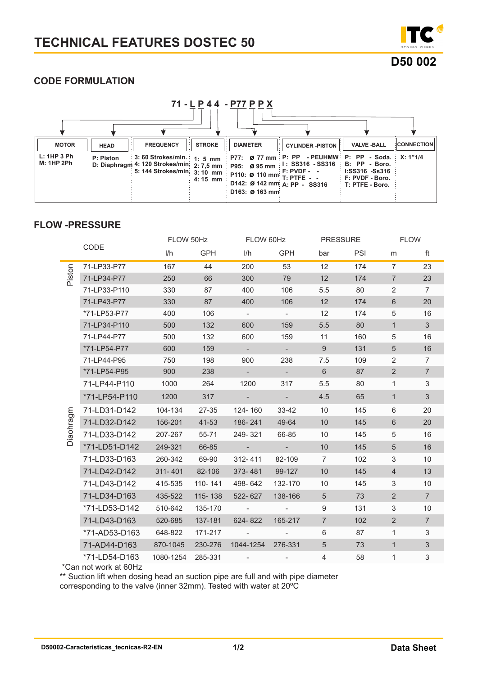

# **CODE FORMULATION**

| 71 - L P 4 4 - P77 P P X                         |                          |                  |                          |                                   |                                                                                                                                                                                                                                                  |                                      |                   |  |
|--------------------------------------------------|--------------------------|------------------|--------------------------|-----------------------------------|--------------------------------------------------------------------------------------------------------------------------------------------------------------------------------------------------------------------------------------------------|--------------------------------------|-------------------|--|
|                                                  |                          |                  |                          |                                   |                                                                                                                                                                                                                                                  |                                      |                   |  |
| <b>MOTOR</b><br>L: 1HP 3 Ph<br><b>M: 1HP 2Ph</b> | <b>HEAD</b><br>P: Piston | <b>FREQUENCY</b> | <b>STROKE</b><br>4:15 mm | <b>DIAMETER</b><br>D163: Ø 163 mm | <b>CYLINDER -PISTON</b><br>3:60 Strokes/min.   1:5 mm   P77: Ø 77 mm   P: PP - PEUHMW   P: PP - Soda.   X: 1"1/4<br>D: Diaphragm 4: 120 Strokes/min. 2: 7,5 mm   p95: 0 95 mm   1: SS316 - SS316   B: PP - Boro.<br>D142: Ø 142 mm A: PP - SS316 | <b>VALVE-BALL</b><br>T: PTFE - Boro. | <b>CONNECTION</b> |  |

# **FLOW -PRESSURE**

|           |               |           | FLOW 50Hz |                          | FLOW 60Hz                |                 | <b>PRESSURE</b> |                  | <b>FLOW</b>    |  |
|-----------|---------------|-----------|-----------|--------------------------|--------------------------|-----------------|-----------------|------------------|----------------|--|
|           | CODE          | 1/h       | GPH       | 1/h                      | GPH                      | bar             | PSI             | m                | ft             |  |
|           | 71-LP33-P77   | 167       | 44        | 200                      | 53                       | 12              | 174             | $\overline{7}$   | 23             |  |
| Piston    | 71-LP34-P77   | 250       | 66        | 300                      | 79                       | 12              | 174             | $\overline{7}$   | 23             |  |
|           | 71-LP33-P110  | 330       | 87        | 400                      | 106                      | 5.5             | 80              | 2                | $\overline{7}$ |  |
|           | 71-LP43-P77   | 330       | 87        | 400                      | 106                      | 12              | 174             | $6\phantom{1}$   | 20             |  |
|           | *71-LP53-P77  | 400       | 106       | $\sim$                   | $\omega_{\rm{eff}}$      | 12              | 174             | 5                | 16             |  |
|           | 71-LP34-P110  | 500       | 132       | 600                      | 159                      | 5.5             | 80              | $\mathbf{1}$     | $\mathbf{3}$   |  |
|           | 71-LP44-P77   | 500       | 132       | 600                      | 159                      | 11              | 160             | 5                | 16             |  |
|           | *71-LP54-P77  | 600       | 159       | $\sim$                   | $\omega_{\rm{eff}}$      | $9^{\circ}$     | 131             | 5 <sup>5</sup>   | 16             |  |
|           | 71-LP44-P95   | 750       | 198       | 900                      | 238                      | 7.5             | 109             | $\overline{2}$   | $\overline{7}$ |  |
|           | *71-LP54-P95  | 900       | 238       | $\sim$                   | $\omega_{\rm{eff}}$      | $6\overline{6}$ | 87              | $\overline{2}$   | $\overline{7}$ |  |
| Diaohragm | 71-LP44-P110  | 1000      | 264       | 1200                     | 317                      | 5.5             | 80              | $\mathbf{1}$     | $\mathfrak{S}$ |  |
|           | *71-LP54-P110 | 1200      | 317       |                          | $\omega_{\rm{eff}}$      | 4.5             | 65              | $\mathbf{1}$     | $\mathbf{3}$   |  |
|           | 71-LD31-D142  | 104-134   | 27-35     | 124-160                  | 33-42                    | 10              | 145             | 6                | 20             |  |
|           | 71-LD32-D142  | 156-201   | 41-53     | 186-241                  | 49-64                    | 10              | 145             | $6 \overline{6}$ | 20             |  |
|           | 71-LD33-D142  | 207-267   | 55-71     | 249-321                  | 66-85                    | 10              | 145             | 5                | 16             |  |
|           | *71-LD51-D142 | 249-321   | 66-85     | <b>State Advised</b>     | $\sim 100$               | 10              | 145             | $5\overline{)}$  | 16             |  |
|           | 71-LD33-D163  | 260-342   | 69-90     | 312-411                  | 82-109                   | $7^{\circ}$     | 102             | 3                | 10             |  |
|           | 71-LD42-D142  | 311-401   | 82-106    | 373-481                  | 99-127                   | 10              | 145             | $\overline{4}$   | 13             |  |
|           | 71-LD43-D142  | 415-535   | 110-141   | 498-642                  | 132-170                  | 10              | 145             | 3                | 10             |  |
|           | 71-LD34-D163  | 435-522   | 115-138   | 522-627                  | 138-166                  | 5 <sup>5</sup>  | 73              | $2^{\circ}$      | $\overline{7}$ |  |
|           | *71-LD53-D142 | 510-642   | 135-170   | $\sim 100$               | $\sim$                   | 9               | 131             | 3                | 10             |  |
|           | 71-LD43-D163  | 520-685   | 137-181   | 624-822                  | 165-217                  | $\overline{7}$  | 102             | 2                | $\overline{7}$ |  |
|           | *71-AD53-D163 | 648-822   | 171-217   | <b>Contract Contract</b> | $\omega_{\rm{max}}$      | 6               | 87              | $\mathbf{1}$     | $\mathfrak{S}$ |  |
|           | 71-AD44-D163  | 870-1045  | 230-276   | 1044-1254                | 276-331                  | $5\overline{)}$ | 73              | $\mathbf{1}$     | $\mathfrak{S}$ |  |
|           | *71-LD54-D163 | 1080-1254 | 285-331   | $\sim 100$ km s $^{-1}$  | $\overline{\phantom{a}}$ | $\overline{4}$  | 58              | $\mathbf{1}$     | 3              |  |

\*Can not work at 60Hz

\*\* Suction lift when dosing head an suction pipe are full and with pipe diameter

corresponding to the valve (inner 32mm). Tested with water at 20ºC